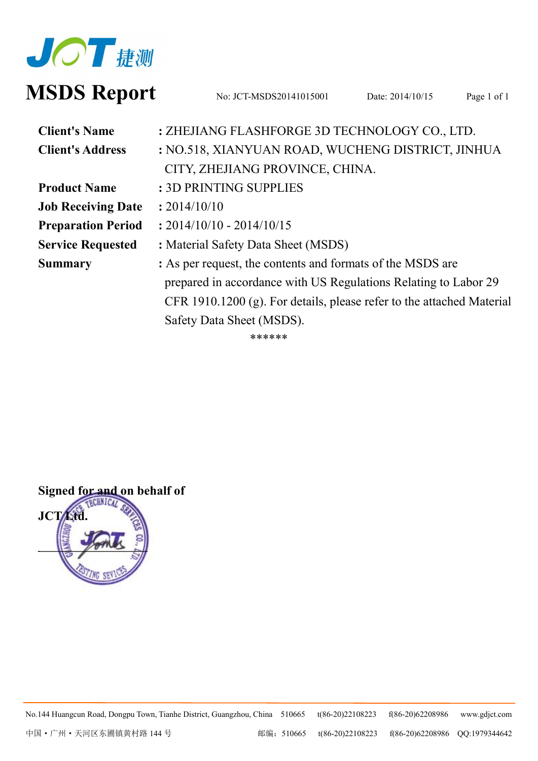

# **MSDS** Report No: JCT-MSDS20141015001 Date: 2014/10/15 Page 1 of 1

| <b>Client's Name</b>      | : ZHEJIANG FLASHFORGE 3D TECHNOLOGY CO., LTD.                         |  |  |
|---------------------------|-----------------------------------------------------------------------|--|--|
| <b>Client's Address</b>   | : NO.518, XIANYUAN ROAD, WUCHENG DISTRICT, JINHUA                     |  |  |
|                           | CITY, ZHEJIANG PROVINCE, CHINA.                                       |  |  |
| <b>Product Name</b>       | : 3D PRINTING SUPPLIES                                                |  |  |
| <b>Job Receiving Date</b> | : 2014/10/10                                                          |  |  |
| <b>Preparation Period</b> | $: 2014/10/10 - 2014/10/15$                                           |  |  |
| <b>Service Requested</b>  | : Material Safety Data Sheet (MSDS)                                   |  |  |
| <b>Summary</b>            | : As per request, the contents and formats of the MSDS are            |  |  |
|                           | prepared in accordance with US Regulations Relating to Labor 29       |  |  |
|                           | CFR 1910.1200 (g). For details, please refer to the attached Material |  |  |
|                           | Safety Data Sheet (MSDS).                                             |  |  |
|                           |                                                                       |  |  |

\*\*\*\*\*\*



No.144 Huangcun Road, Dongpu Town, Tianhe District, Guangzhou, China 510665 t(86-20)22108223 f(86-20)62208986 [www.gdjct.com](http://www.gdjct.com)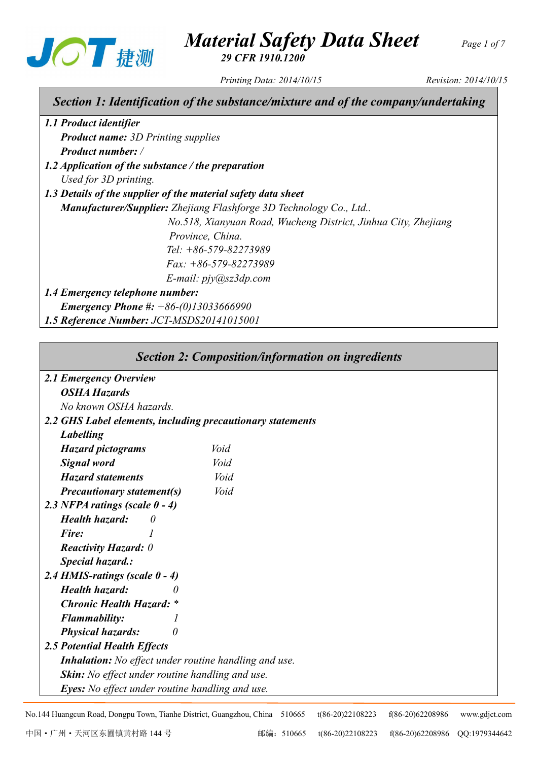

# *Material Safety Data Sheet Page <sup>1</sup> of <sup>7</sup>*

*29 CFR 1910.1200*

*Printing Data: 2014/10/15 Revision: 2014/10/15*

# *Section 1: Identification of the substance/mixture and of the company/undertaking*

*1.1 Product identifier Product name: 3D Printing supplies Product number: /*

- *1.2 Application of the substance / the preparation Used for 3D printing.*
- *1.3 Details ofthe supplier ofthe material safety data sheet*

*Manufacturer/Supplier: Zhejiang Flashforge 3D Technology Co., Ltd..*

*No.518, Xianyuan Road, Wucheng District, Jinhua City, Zhejiang Province, China. .Tel: +86-579-82273989 .Fax: +86-579-82273989*

*.E-mail: pjy@sz3dp.com*

## *1.4 Emergency telephone number:*

*Emergency Phone #: +86-(0)13033666990*

*1.5 Reference Number: JCT-MSDS20141015001*

|                                                              | <b>Section 2: Composition/information on ingredients</b> |  |  |  |  |
|--------------------------------------------------------------|----------------------------------------------------------|--|--|--|--|
| 2.1 Emergency Overview                                       |                                                          |  |  |  |  |
| <b>OSHA Hazards</b>                                          |                                                          |  |  |  |  |
| No known OSHA hazards.                                       |                                                          |  |  |  |  |
| 2.2 GHS Label elements, including precautionary statements   |                                                          |  |  |  |  |
| <b>Labelling</b>                                             |                                                          |  |  |  |  |
| <b>Hazard pictograms</b>                                     | Void                                                     |  |  |  |  |
| <b>Signal</b> word                                           | Void                                                     |  |  |  |  |
| <b>Hazard statements</b>                                     | Void                                                     |  |  |  |  |
| <b>Precautionary statement(s)</b>                            | Void                                                     |  |  |  |  |
| 2.3 NFPA ratings (scale $0 - 4$ )                            |                                                          |  |  |  |  |
| Health hazard:<br>0                                          |                                                          |  |  |  |  |
| Fire:                                                        |                                                          |  |  |  |  |
| <b>Reactivity Hazard:</b> 0                                  |                                                          |  |  |  |  |
| <b>Special hazard.:</b>                                      |                                                          |  |  |  |  |
| 2.4 HMIS-ratings (scale $0 - 4$ )                            |                                                          |  |  |  |  |
| <b>Health hazard:</b>                                        |                                                          |  |  |  |  |
| <b>Chronic Health Hazard: *</b>                              |                                                          |  |  |  |  |
| <b>Flammability:</b>                                         |                                                          |  |  |  |  |
| <b>Physical hazards:</b><br>0                                |                                                          |  |  |  |  |
| <b>2.5 Potential Health Effects</b>                          |                                                          |  |  |  |  |
| <b>Inhalation:</b> No effect under routine handling and use. |                                                          |  |  |  |  |
| <b>Skin:</b> No effect under routine handling and use.       |                                                          |  |  |  |  |
| <b>Eyes:</b> No effect under routine handling and use.       |                                                          |  |  |  |  |

No.144 Huangcun Road, Dongpu Town, Tianhe District, Guangzhou, China 510665 t(86-20)22108223 f(86-20)62208986 [www.gdjct.com](http://www.gdjct.com)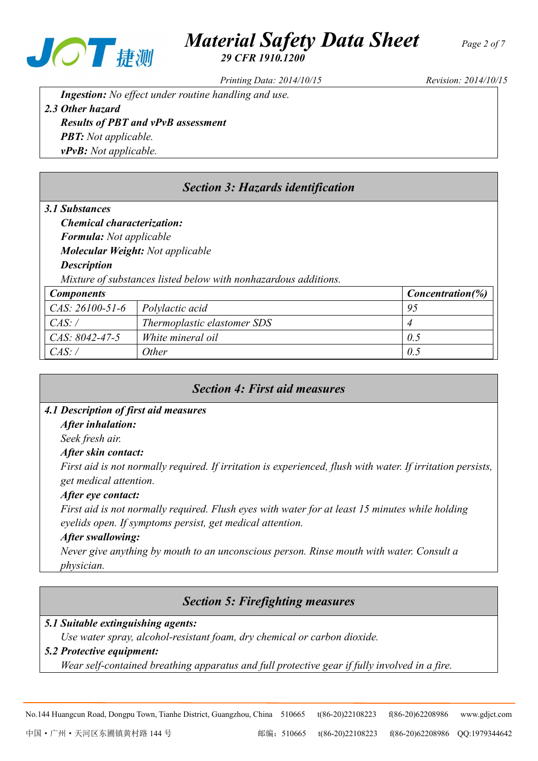

# *Material Safety Data Sheet Page <sup>2</sup> of <sup>7</sup>*

*29 CFR 1910.1200*

*Printing Data: 2014/10/15 Revision: 2014/10/15*

*Ingestion: No effect under routine handling and use. 2.3 Other hazard*

## *Results ofPBT and vPvB assessment PBT: Not applicable. vPvB: Not applicable.*

# *Section 3: Hazards identification*

## *3.1 Substances*

*Chemical characterization:*

*Formula: Not applicable*

*Molecular Weight: Not applicable*

## *Description*

*Mixture of substances listed below with nonhazardous additions.*

| <b>Components</b> |                             | <i>Concentration</i> $(\%)$ |
|-------------------|-----------------------------|-----------------------------|
| $CAS: 26100-51-6$ | Polylactic acid             | 95                          |
| CAS:              | Thermoplastic elastomer SDS |                             |
| CAS: 8042-47-5    | White mineral oil           | 0.5                         |
| CAS:              | )ther                       | 0.5                         |

# *Section 4: First aid measures 4.1 Description of first aid measures After inhalation: Seek fresh air. After skin contact: First aid is not normally required. If irritation is experienced, flush with water. If irritation persists, get medical attention. After eye contact: First aid is not normally required. Flush eyes with water for at least 15 minutes while holding eyelids open. If symptoms persist, get medical attention. After swallowing:*

*Never give anything by mouth to an unconscious person. Rinse mouth with water. Consult a physician.*

# *Section 5: Firefighting measures*

*5.1 Suitable extinguishing agents:*

*Use* water *spray, alcohol-resistant foam, dry chemical or carbon dioxide.* 

## *5.2 Protective equipment:*

*Wear self-contained breathing apparatus and full protective gear if fully involved in a fire.*

No.144 Huangcun Road, Dongpu Town, Tianhe District, Guangzhou, China 510665 t(86-20)22108223 f(86-20)62208986 [www.gdjct.com](http://www.gdjct.com)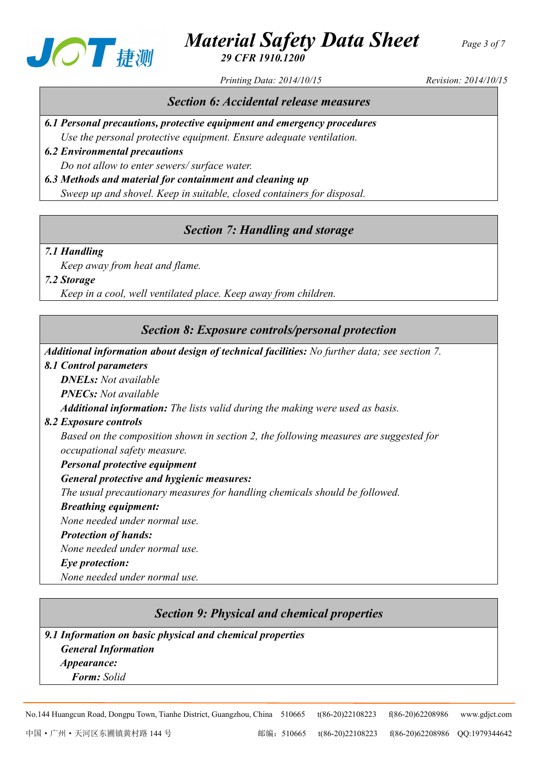

# *Material Safety Data Sheet Page <sup>3</sup> of <sup>7</sup> 29 CFR 1910.1200*

*Printing Data: 2014/10/15 Revision: 2014/10/15*

## *Section 6: Accidental release measures*

*6.1 Personal precautions, protective equipment and emergency procedures Use the personal protective equipment. Ensure adequate ventilation.*

*6.2 Environmental precautions Do not allow to enter sewers/ surface water. 6.3 Methods and material for containment and cleaning up*

*Sweep up and shovel. Keep in suitable, closed containers for disposal.* 

# *Section 7: Handling and storage*

### *7.1 Handling*

*Keep away from heat and flame.*

*7.2 Storage*

*Keep in a cool, well ventilated place. Keep away from children.*

## *Section 8: Exposure controls/personal protection*

*Additional information about design of technical facilities: No further data; see section 7.*

#### *8.1 Control parameters*

*DNELs: Not available PNECs: Not available Additional information: The lists valid during the making were used as basis.*

## *8.2 Exposure controls*

*Based on the composition shown in section 2, the following measures are suggested for occupational safety measure.*

*Personal protective equipment*

### *General protective and hygienic measures:*

*The usual precautionary measures for handling chemicals should be followed.*

### *Breathing equipment:*

*None needed under normal use.*

#### *Protection of hands:*

*None needed under normal use.*

### *Eye protection:*

*None needed under normal use.*

## *Section 9: Physical and chemical properties*

*9.1 Information on basic physical and chemical properties General Information Appearance: Form: Solid*

No.144 Huangcun Road, Dongpu Town, Tianhe District, Guangzhou, China 510665 t(86-20)22108223 f(86-20)62208986 [www.gdjct.com](http://www.gdjct.com)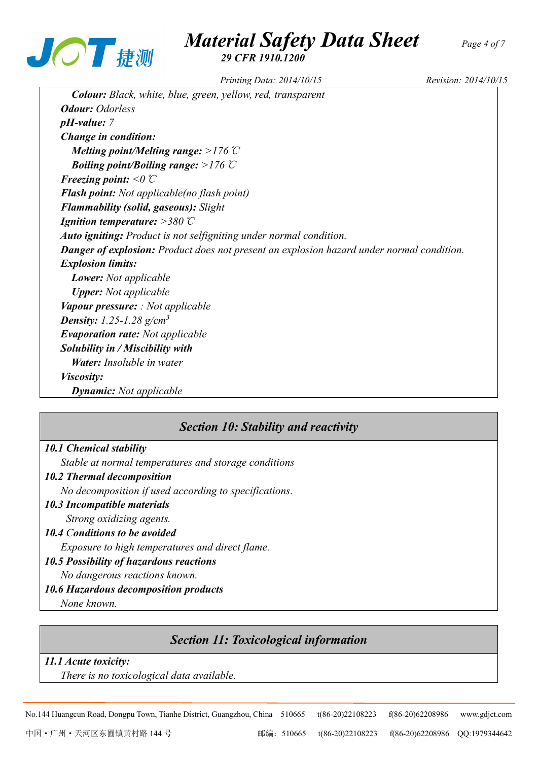

# *Material Safety Data Sheet Page <sup>4</sup> of <sup>7</sup> 29 CFR 1910.1200*

*Printing Data: 2014/10/15 Revision: 2014/10/15*

*Colour: Black, white, blue, green, yellow, red, transparent Odour: Odorless pH-value: 7 Change in condition: Melting point/Melting range: >176*℃ *Boiling point/Boiling range: >176*℃ *Freezing point: <0*℃ *Flash point: Not applicable(no flash point) Flammability (solid, gaseous): Slight Ignition temperature: >380*℃ *Auto igniting: Product is not selfigniting under normal condition. Danger of explosion: Product does not present an explosion hazard under normal condition. Explosion limits: Lower: Not applicable Upper: Not applicable Vapour pressure: : Not applicable Density: 1.25-1.28 g/cm<sup>3</sup> Evaporation rate: Not applicable Solubility in / Miscibility with Water: Insoluble in water Viscosity: Dynamic: Not applicable*

## *Section 10: Stability and reactivity*

### *10.1 Chemical stability*

*Stable at normal temperatures and storage conditions*

#### *10.2 Thermal decomposition*

*No decomposition if used according to specifications.*

- *10.3 Incompatible materials Strong oxidizing agents.*
- *10.4 Conditions to be avoided Exposure to high temperatures and direct flame.*
- *10.5 Possibility of hazardous reactions*

*No dangerous reactions known.*

*10.6 Hazardous decomposition products*

*None known.*

## *Section 11: Toxicological information*

#### *11.1 Acute toxicity:*

*There is no toxicological data available.*

No.144 Huangcun Road, Dongpu Town, Tianhe District, Guangzhou, China 510665 t(86-20)22108223 f(86-20)62208986 [www.gdjct.com](http://www.gdjct.com)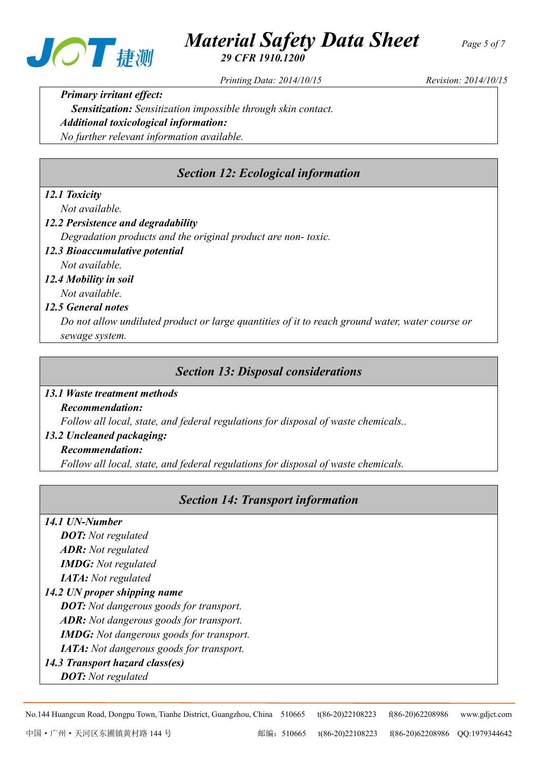



*29 CFR 1910.1200*

*Printing Data: 2014/10/15 Revision: 2014/10/15*

*Primary irritant effect*: *Sensitization: Sensitization impossible through skin contact. Additional toxicological information: No further relevant information available.*

# *Section 12: Ecological information*

## *12.1 Toxicity*

*Not available.*

- *12.2 Persistence and degradability*
	- *Degradation products and the original product are non-toxic.*
- *12.3 Bioaccumulative potential Not available.*

# *12.4 Mobility in soil*

*Not available.*

### *12.5 General notes*

*Do not allow undiluted product or large quantities of it to reach ground water, water course or sewage system.*

## *Section 13: Disposal considerations*

#### *13.1 Waste treatment methods*

*Recommendation:*

*Follow all local, state, and federal regulations for disposal of waste chemicals..*

### *13.2 Uncleaned packaging:*

#### *Recommendation:*

*Follow all local, state, and federal regulations for disposal of waste chemicals.*

## *Section 14: Transport information*

#### *14.1 UN-Number*

*DOT: Not regulated ADR: Not regulated IMDG: Not regulated IATA: Not regulated 14.2 UN proper shipping name DOT: Not dangerous goods for transport. ADR: Not dangerous goods for transport.*

*IMDG: Not dangerous goods for transport.*

*IATA: Not dangerous goods for transport.*

*14.3 Transport hazard class(es)*

*DOT: Not regulated*

No.144 Huangcun Road, Dongpu Town, Tianhe District, Guangzhou, China 510665 t(86-20)22108223 f(86-20)62208986 [www.gdjct.com](http://www.gdjct.com)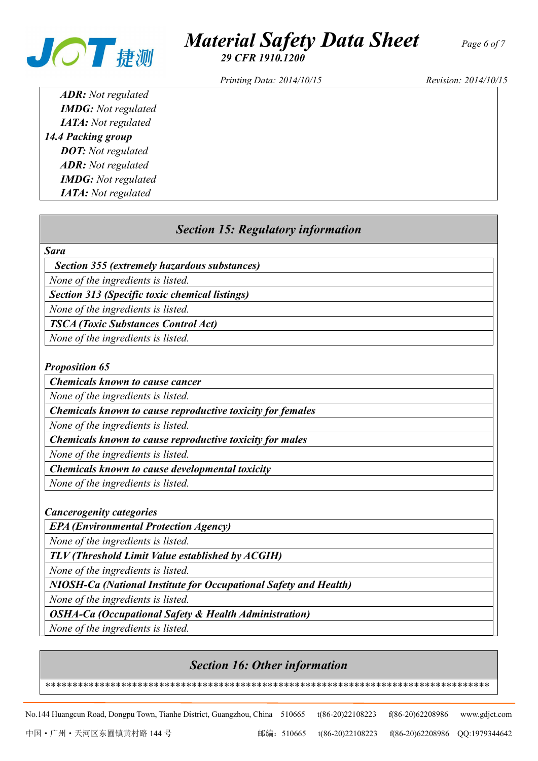

# *Material Safety Data Sheet Page <sup>6</sup> of <sup>7</sup>*

*29 CFR 1910.1200*

*Printing Data: 2014/10/15 Revision: 2014/10/15*

*ADR: Not regulated IMDG: Not regulated IATA: Not regulated 14.4 Packing group DOT: Not regulated ADR: Not regulated IMDG: Not regulated IATA: Not regulated*

## *Section 15: Regulatory information*

#### *Sara*

*Section 355 (extremely hazardous substances)*

*None of the ingredients is listed.*

*Section 313 (Specific toxic chemical listings)*

*None of the ingredients is listed.*

*TSCA (Toxic Substances Control Act)*

*None of the ingredients is listed.*

#### *Proposition 65*

*Chemicals known to cause cancer* 

*None of the ingredients is listed.*

*Chemicals known to cause reproductive toxicity for females* 

*None of the ingredients is listed.*

*Chemicals known tocause reproductive toxicity for males*

*None of the ingredients is listed.*

*Chemicals known to cause developmental toxicity* 

*None of the ingredients is listed.*

*Cancerogenity categories*

*EPA (Environmental Protection Agency)*

*None of the ingredients is listed.*

*TLV (Threshold Limit Value established by ACGIH)*

*None of the ingredients is listed.*

*NIOSH-Ca (National Institute for Occupational Safety and Health)*

*None of the ingredients is listed.*

*OSHA-Ca (Occupational Safety & Health Administration)*

*None of the ingredients is listed.*

## *Section 16: Other information*

*\*\*\*\*\*\*\*\*\*\*\*\*\*\*\*\*\*\*\*\*\*\*\*\*\*\*\*\*\*\*\*\*\*\*\*\*\*\*\*\*\*\*\*\*\*\*\*\*\*\*\*\*\*\*\*\*\*\*\*\*\*\*\*\*\*\*\*\*\*\*\*\*\*\*\*\*\*\*\*\*\*\**

No.144 Huangcun Road, Dongpu Town, Tianhe District, Guangzhou, China 510665 t(86-20)22108223 f(86-20)62208986 [www.gdjct.com](http://www.gdjct.com)